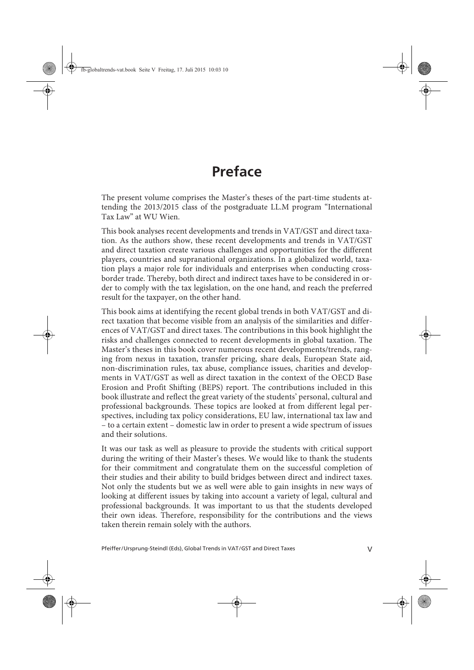## **Preface**

The present volume comprises the Master's theses of the part-time students attending the 2013/2015 class of the postgraduate LL.M program "International Tax Law" at WU Wien.

This book analyses recent developments and trends in VAT/GST and direct taxation. As the authors show, these recent developments and trends in VAT/GST and direct taxation create various challenges and opportunities for the different players, countries and supranational organizations. In a globalized world, taxation plays a major role for individuals and enterprises when conducting crossborder trade. Thereby, both direct and indirect taxes have to be considered in order to comply with the tax legislation, on the one hand, and reach the preferred result for the taxpayer, on the other hand.

This book aims at identifying the recent global trends in both VAT/GST and direct taxation that become visible from an analysis of the similarities and differences of VAT/GST and direct taxes. The contributions in this book highlight the risks and challenges connected to recent developments in global taxation. The Master's theses in this book cover numerous recent developments/trends, ranging from nexus in taxation, transfer pricing, share deals, European State aid, non-discrimination rules, tax abuse, compliance issues, charities and developments in VAT/GST as well as direct taxation in the context of the OECD Base Erosion and Profit Shifting (BEPS) report. The contributions included in this book illustrate and reflect the great variety of the students' personal, cultural and professional backgrounds. These topics are looked at from different legal perspectives, including tax policy considerations, EU law, international tax law and – to a certain extent – domestic law in order to present a wide spectrum of issues and their solutions.

It was our task as well as pleasure to provide the students with critical support during the writing of their Master's theses. We would like to thank the students for their commitment and congratulate them on the successful completion of their studies and their ability to build bridges between direct and indirect taxes. Not only the students but we as well were able to gain insights in new ways of looking at different issues by taking into account a variety of legal, cultural and professional backgrounds. It was important to us that the students developed their own ideas. Therefore, responsibility for the contributions and the views taken therein remain solely with the authors.